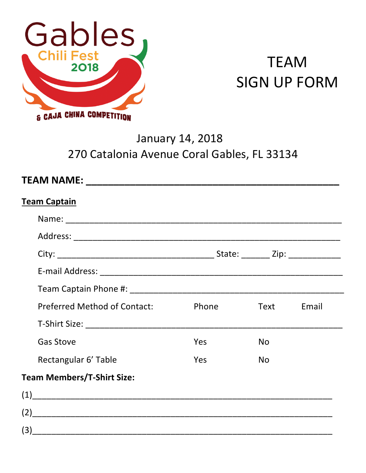

# **TEAM SIGN UP FORM**

## **January 14, 2018** 270 Catalonia Avenue Coral Gables, FL 33134

| <b>Team Captain</b>                                                                                                                                                                                                                                                                                                                                                                                                                           |            |           |       |
|-----------------------------------------------------------------------------------------------------------------------------------------------------------------------------------------------------------------------------------------------------------------------------------------------------------------------------------------------------------------------------------------------------------------------------------------------|------------|-----------|-------|
|                                                                                                                                                                                                                                                                                                                                                                                                                                               |            |           |       |
|                                                                                                                                                                                                                                                                                                                                                                                                                                               |            |           |       |
|                                                                                                                                                                                                                                                                                                                                                                                                                                               |            |           |       |
|                                                                                                                                                                                                                                                                                                                                                                                                                                               |            |           |       |
|                                                                                                                                                                                                                                                                                                                                                                                                                                               |            |           |       |
| <b>Preferred Method of Contact:</b>                                                                                                                                                                                                                                                                                                                                                                                                           | Phone      | Text      | Email |
|                                                                                                                                                                                                                                                                                                                                                                                                                                               |            |           |       |
| <b>Gas Stove</b>                                                                                                                                                                                                                                                                                                                                                                                                                              | <b>Yes</b> | <b>No</b> |       |
| Rectangular 6' Table                                                                                                                                                                                                                                                                                                                                                                                                                          | <b>Yes</b> | <b>No</b> |       |
| <b>Team Members/T-Shirt Size:</b>                                                                                                                                                                                                                                                                                                                                                                                                             |            |           |       |
| $(1) \qquad \qquad (2) \qquad \qquad (3) \qquad \qquad (4) \qquad \qquad (5) \qquad \qquad (6) \qquad \qquad (7) \qquad \qquad (8) \qquad \qquad (8) \qquad \qquad (9) \qquad \qquad (9) \qquad \qquad (10) \qquad \qquad (11) \qquad \qquad (12) \qquad \qquad (16) \qquad \qquad (17) \qquad \qquad (18) \qquad \qquad (19) \qquad \qquad (19) \qquad \qquad (19) \qquad \qquad (10) \qquad \qquad (10) \qquad \qquad (11) \qquad \qquad ($ |            |           |       |
|                                                                                                                                                                                                                                                                                                                                                                                                                                               |            |           |       |
|                                                                                                                                                                                                                                                                                                                                                                                                                                               |            |           |       |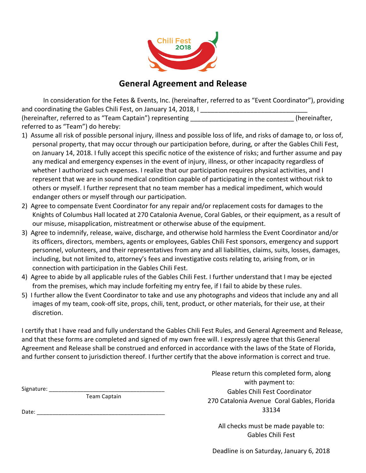

#### **General Agreement and Release**

In consideration for the Fetes & Events, Inc. (hereinafter, referred to as "Event Coordinator"), providing and coordinating the Gables Chili Fest, on January 14, 2018, I \_\_\_\_\_\_\_\_\_\_\_\_\_\_\_\_\_ (hereinafter, referred to as "Team Captain") representing entitled and the setting (hereinafter,

- referred to as "Team") do hereby:
- 1) Assume all risk of possible personal injury, illness and possible loss of life, and risks of damage to, or loss of, personal property, that may occur through our participation before, during, or after the Gables Chili Fest, on January 14, 2018. I fully accept this specific notice of the existence of risks; and further assume and pay any medical and emergency expenses in the event of injury, illness, or other incapacity regardless of whether I authorized such expenses. I realize that our participation requires physical activities, and I represent that we are in sound medical condition capable of participating in the contest without risk to others or myself. I further represent that no team member has a medical impediment, which would endanger others or myself through our participation.
- 2) Agree to compensate Event Coordinator for any repair and/or replacement costs for damages to the Knights of Columbus Hall located at 270 Catalonia Avenue, Coral Gables, or their equipment, as a result of our misuse, misapplication, mistreatment or otherwise abuse of the equipment.
- 3) Agree to indemnify, release, waive, discharge, and otherwise hold harmless the Event Coordinator and/or its officers, directors, members, agents or employees, Gables Chili Fest sponsors, emergency and support personnel, volunteers, and their representatives from any and all liabilities, claims, suits, losses, damages, including, but not limited to, attorney's fees and investigative costs relating to, arising from, or in connection with participation in the Gables Chili Fest.
- 4) Agree to abide by all applicable rules of the Gables Chili Fest. I further understand that I may be ejected from the premises, which may include forfeiting my entry fee, if I fail to abide by these rules.
- 5) I further allow the Event Coordinator to take and use any photographs and videos that include any and all images of my team, cook-off site, props, chili, tent, product, or other materials, for their use, at their discretion.

I certify that I have read and fully understand the Gables Chili Fest Rules, and General Agreement and Release, and that these forms are completed and signed of my own free will. I expressly agree that this General Agreement and Release shall be construed and enforced in accordance with the laws of the State of Florida, and further consent to jurisdiction thereof. I further certify that the above information is correct and true.

Signature: \_\_\_\_\_\_\_\_\_\_\_\_\_\_\_\_\_\_\_\_\_\_\_\_\_\_\_\_\_\_\_\_\_\_\_\_\_ 

Team Captain 

Date: when  $\Box$ 

Please return this completed form, along with payment to: Gables Chili Fest Coordinator 270 Catalonia Avenue Coral Gables, Florida 33134

All checks must be made payable to: Gables Chili Fest

Deadline is on Saturday, January 6, 2018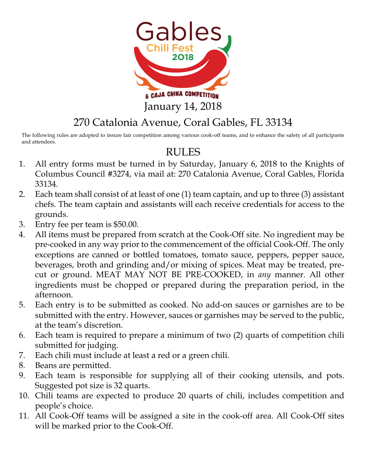

### 270 Catalonia Avenue, Coral Gables, FL 33134

The following rules are adopted to insure fair competition among various cook-off teams, and to enhance the safety of all participants and attendees.

### RULES

- 1. All entry forms must be turned in by Saturday, January 6, 2018 to the Knights of Columbus Council #3274, via mail at: 270 Catalonia Avenue, Coral Gables, Florida 33134.
- 2. Each team shall consist of at least of one (1) team captain, and up to three (3) assistant chefs. The team captain and assistants will each receive credentials for access to the grounds.
- 3. Entry fee per team is \$50.00.
- 4. All items must be prepared from scratch at the Cook-Off site. No ingredient may be pre-cooked in any way prior to the commencement of the official Cook-Off. The only exceptions are canned or bottled tomatoes, tomato sauce, peppers, pepper sauce, beverages, broth and grinding and/or mixing of spices. Meat may be treated, precut or ground. MEAT MAY NOT BE PRE-COOKED, in *any* manner. All other ingredients must be chopped or prepared during the preparation period, in the afternoon.
- 5. Each entry is to be submitted as cooked. No add-on sauces or garnishes are to be submitted with the entry. However, sauces or garnishes may be served to the public, at the team's discretion.
- 6. Each team is required to prepare a minimum of two (2) quarts of competition chili submitted for judging.
- 7. Each chili must include at least a red or a green chili.
- 8. Beans are permitted.
- 9. Each team is responsible for supplying all of their cooking utensils, and pots. Suggested pot size is 32 quarts.
- 10. Chili teams are expected to produce 20 quarts of chili, includes competition and people's choice.
- 11. All Cook-Off teams will be assigned a site in the cook-off area. All Cook-Off sites will be marked prior to the Cook-Off.